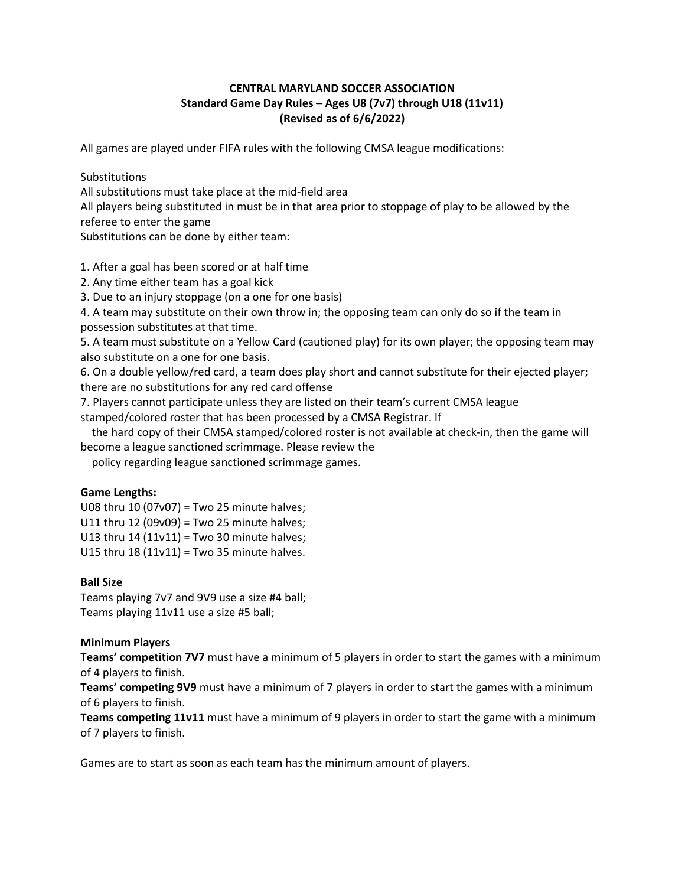# **CENTRAL MARYLAND SOCCER ASSOCIATION Standard Game Day Rules – Ages U8 (7v7) through U18 (11v11) (Revised as of 6/6/2022)**

All games are played under FIFA rules with the following CMSA league modifications:

Substitutions

All substitutions must take place at the mid-field area

All players being substituted in must be in that area prior to stoppage of play to be allowed by the referee to enter the game

Substitutions can be done by either team:

1. After a goal has been scored or at half time

2. Any time either team has a goal kick

3. Due to an injury stoppage (on a one for one basis)

4. A team may substitute on their own throw in; the opposing team can only do so if the team in possession substitutes at that time.

5. A team must substitute on a Yellow Card (cautioned play) for its own player; the opposing team may also substitute on a one for one basis.

6. On a double yellow/red card, a team does play short and cannot substitute for their ejected player; there are no substitutions for any red card offense

7. Players cannot participate unless they are listed on their team's current CMSA league stamped/colored roster that has been processed by a CMSA Registrar. If

 the hard copy of their CMSA stamped/colored roster is not available at check-in, then the game will become a league sanctioned scrimmage. Please review the

policy regarding league sanctioned scrimmage games.

#### **Game Lengths:**

U08 thru 10 (07v07) = Two 25 minute halves;

U11 thru 12 (09v09) = Two 25 minute halves;

U13 thru 14 (11v11) = Two 30 minute halves;

U15 thru 18 (11v11) = Two 35 minute halves.

## **Ball Size**

Teams playing 7v7 and 9V9 use a size #4 ball; Teams playing 11v11 use a size #5 ball;

## **Minimum Players**

**Teams' competition 7V7** must have a minimum of 5 players in order to start the games with a minimum of 4 players to finish.

**Teams' competing 9V9** must have a minimum of 7 players in order to start the games with a minimum of 6 players to finish.

**Teams competing 11v11** must have a minimum of 9 players in order to start the game with a minimum of 7 players to finish.

Games are to start as soon as each team has the minimum amount of players.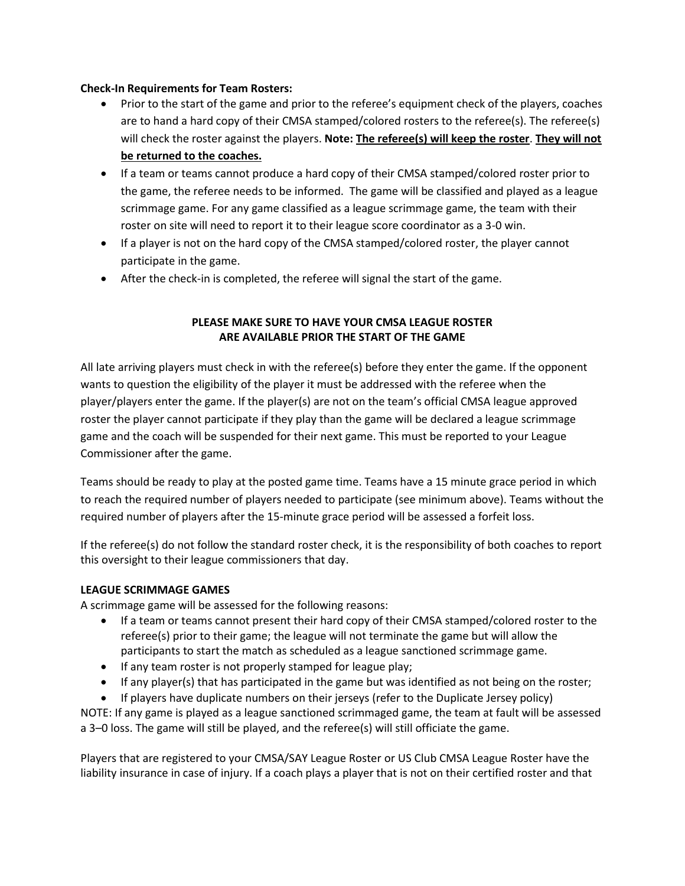## **Check-In Requirements for Team Rosters:**

- Prior to the start of the game and prior to the referee's equipment check of the players, coaches are to hand a hard copy of their CMSA stamped/colored rosters to the referee(s). The referee(s) will check the roster against the players. **Note: The referee(s) will keep the roster**. **They will not be returned to the coaches.**
- If a team or teams cannot produce a hard copy of their CMSA stamped/colored roster prior to the game, the referee needs to be informed. The game will be classified and played as a league scrimmage game. For any game classified as a league scrimmage game, the team with their roster on site will need to report it to their league score coordinator as a 3-0 win.
- If a player is not on the hard copy of the CMSA stamped/colored roster, the player cannot participate in the game.
- After the check-in is completed, the referee will signal the start of the game.

# **PLEASE MAKE SURE TO HAVE YOUR CMSA LEAGUE ROSTER ARE AVAILABLE PRIOR THE START OF THE GAME**

All late arriving players must check in with the referee(s) before they enter the game. If the opponent wants to question the eligibility of the player it must be addressed with the referee when the player/players enter the game. If the player(s) are not on the team's official CMSA league approved roster the player cannot participate if they play than the game will be declared a league scrimmage game and the coach will be suspended for their next game. This must be reported to your League Commissioner after the game.

Teams should be ready to play at the posted game time. Teams have a 15 minute grace period in which to reach the required number of players needed to participate (see minimum above). Teams without the required number of players after the 15-minute grace period will be assessed a forfeit loss.

If the referee(s) do not follow the standard roster check, it is the responsibility of both coaches to report this oversight to their league commissioners that day.

## **LEAGUE SCRIMMAGE GAMES**

A scrimmage game will be assessed for the following reasons:

- If a team or teams cannot present their hard copy of their CMSA stamped/colored roster to the referee(s) prior to their game; the league will not terminate the game but will allow the participants to start the match as scheduled as a league sanctioned scrimmage game.
- If any team roster is not properly stamped for league play;
- If any player(s) that has participated in the game but was identified as not being on the roster;
- If players have duplicate numbers on their jerseys (refer to the Duplicate Jersey policy)

NOTE: If any game is played as a league sanctioned scrimmaged game, the team at fault will be assessed a 3–0 loss. The game will still be played, and the referee(s) will still officiate the game.

Players that are registered to your CMSA/SAY League Roster or US Club CMSA League Roster have the liability insurance in case of injury. If a coach plays a player that is not on their certified roster and that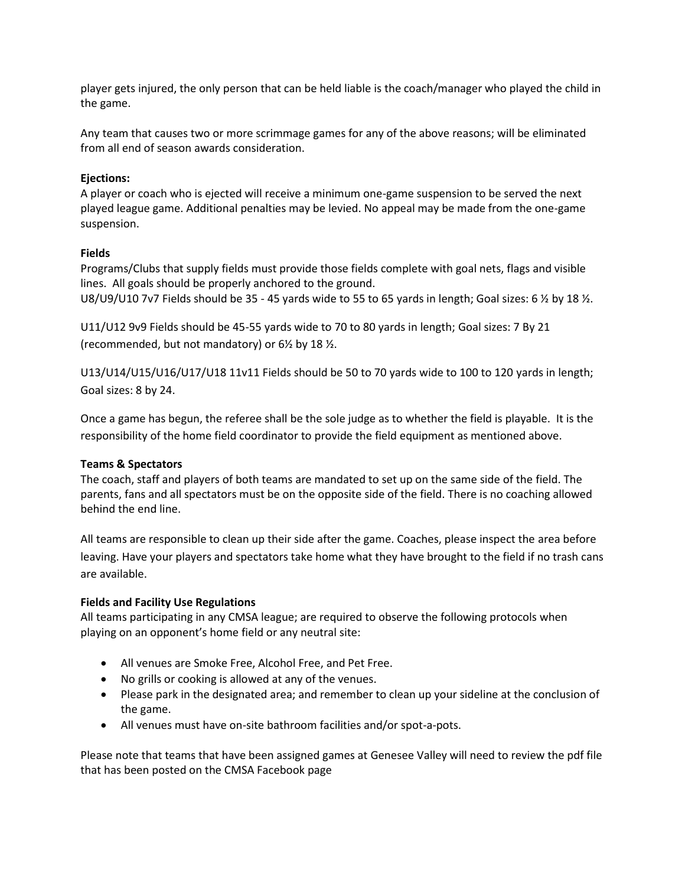player gets injured, the only person that can be held liable is the coach/manager who played the child in the game.

Any team that causes two or more scrimmage games for any of the above reasons; will be eliminated from all end of season awards consideration.

### **Ejections:**

A player or coach who is ejected will receive a minimum one-game suspension to be served the next played league game. Additional penalties may be levied. No appeal may be made from the one-game suspension.

### **Fields**

Programs/Clubs that supply fields must provide those fields complete with goal nets, flags and visible lines. All goals should be properly anchored to the ground.

U8/U9/U10 7v7 Fields should be 35 - 45 yards wide to 55 to 65 yards in length; Goal sizes: 6  $\frac{1}{2}$  by 18  $\frac{1}{2}$ .

U11/U12 9v9 Fields should be 45-55 yards wide to 70 to 80 yards in length; Goal sizes: 7 By 21 (recommended, but not mandatory) or 6½ by 18 ½.

U13/U14/U15/U16/U17/U18 11v11 Fields should be 50 to 70 yards wide to 100 to 120 yards in length; Goal sizes: 8 by 24.

Once a game has begun, the referee shall be the sole judge as to whether the field is playable. It is the responsibility of the home field coordinator to provide the field equipment as mentioned above.

#### **Teams & Spectators**

The coach, staff and players of both teams are mandated to set up on the same side of the field. The parents, fans and all spectators must be on the opposite side of the field. There is no coaching allowed behind the end line.

All teams are responsible to clean up their side after the game. Coaches, please inspect the area before leaving. Have your players and spectators take home what they have brought to the field if no trash cans are available.

#### **Fields and Facility Use Regulations**

All teams participating in any CMSA league; are required to observe the following protocols when playing on an opponent's home field or any neutral site:

- All venues are Smoke Free, Alcohol Free, and Pet Free.
- No grills or cooking is allowed at any of the venues.
- Please park in the designated area; and remember to clean up your sideline at the conclusion of the game.
- All venues must have on-site bathroom facilities and/or spot-a-pots.

Please note that teams that have been assigned games at Genesee Valley will need to review the pdf file that has been posted on the CMSA Facebook page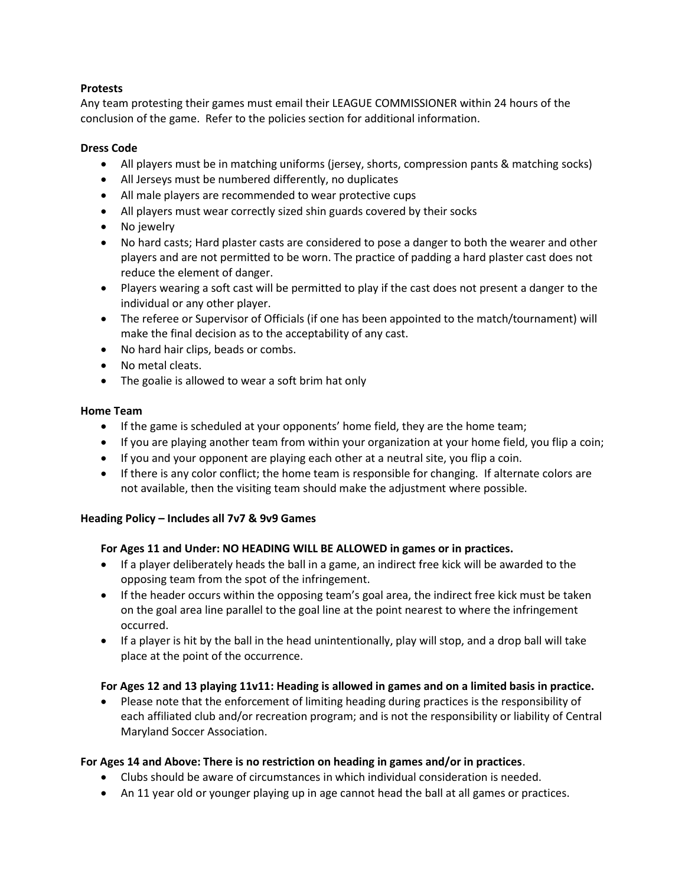## **Protests**

Any team protesting their games must email their LEAGUE COMMISSIONER within 24 hours of the conclusion of the game. Refer to the policies section for additional information.

## **Dress Code**

- All players must be in matching uniforms (jersey, shorts, compression pants & matching socks)
- All Jerseys must be numbered differently, no duplicates
- All male players are recommended to wear protective cups
- All players must wear correctly sized shin guards covered by their socks
- No jewelry
- No hard casts; Hard plaster casts are considered to pose a danger to both the wearer and other players and are not permitted to be worn. The practice of padding a hard plaster cast does not reduce the element of danger.
- Players wearing a soft cast will be permitted to play if the cast does not present a danger to the individual or any other player.
- The referee or Supervisor of Officials (if one has been appointed to the match/tournament) will make the final decision as to the acceptability of any cast.
- No hard hair clips, beads or combs.
- No metal cleats.
- The goalie is allowed to wear a soft brim hat only

## **Home Team**

- If the game is scheduled at your opponents' home field, they are the home team;
- If you are playing another team from within your organization at your home field, you flip a coin;
- If you and your opponent are playing each other at a neutral site, you flip a coin.
- If there is any color conflict; the home team is responsible for changing. If alternate colors are not available, then the visiting team should make the adjustment where possible.

## **Heading Policy – Includes all 7v7 & 9v9 Games**

## **For Ages 11 and Under: NO HEADING WILL BE ALLOWED in games or in practices.**

- If a player deliberately heads the ball in a game, an indirect free kick will be awarded to the opposing team from the spot of the infringement.
- If the header occurs within the opposing team's goal area, the indirect free kick must be taken on the goal area line parallel to the goal line at the point nearest to where the infringement occurred.
- If a player is hit by the ball in the head unintentionally, play will stop, and a drop ball will take place at the point of the occurrence.

# **For Ages 12 and 13 playing 11v11: Heading is allowed in games and on a limited basis in practice.**

• Please note that the enforcement of limiting heading during practices is the responsibility of each affiliated club and/or recreation program; and is not the responsibility or liability of Central Maryland Soccer Association.

## **For Ages 14 and Above: There is no restriction on heading in games and/or in practices**.

- Clubs should be aware of circumstances in which individual consideration is needed.
- An 11 year old or younger playing up in age cannot head the ball at all games or practices.